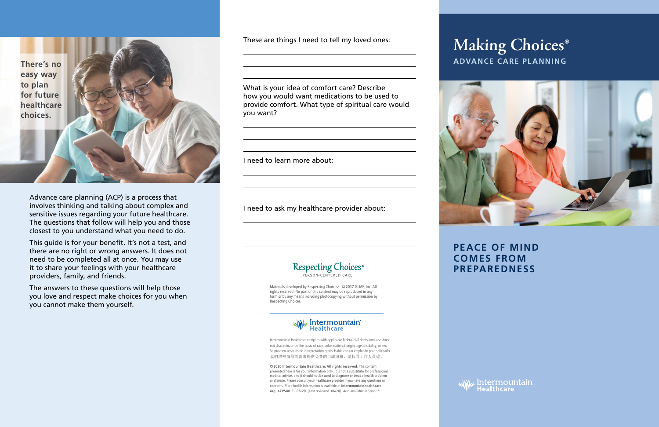# **ADVANCE CARE PLANNING Making Choices®**





Advance care planning (ACP) is a process that involves thinking and talking about complex and sensitive issues regarding your future healthcare. The questions that follow will help you and those closest to you understand what you need to do.

This guide is for your benefit. It's not a test, and there are no right or wrong answers. It does not need to be completed all at once. You may use it to share your feelings with your healthcare providers, family, and friends.

The answers to these questions will help those you love and respect make choices for you when you cannot make them yourself.

**PEACE OF MIND COMES FROM PREPAREDNESS**

> *JvL* Intermountain<sup>®</sup> **Healthcare**

**There's no easy way to plan for future healthcare choices.**

> Intermountain Healthcare complies with applicable federal civil rights laws and does not discriminate on the basis of race, color, national origin, age, disability, or sex. Se proveen servicios de interpretación gratis. Hable con un empleado para solicitarlo. 我們將根據您的需求提供免費的口譯服務。請找尋工作人員協。

These are things I need to tell my loved ones:

What is your idea of comfort care? Describe how you would want medications to be used to provide comfort. What type of spiritual care would you want?

I need to learn more about:

I need to ask my healthcare provider about:



**©2020 Intermountain Healthcare. All rights reserved.** The content presented here is for your information only. It is not a substitute for professional medical advice, and it should not be used to diagnose or treat a health problem or disease. Please consult your healthcare provider if you have any questions or concerns. More health information is available at **intermountainhealthcare. org. ACP540-E - 06/20** (Last reviewed - 06/20)Also available in Spanish.

Materials developed by Respecting Choices**®**. **©2017** GLMF, Inc. All rights reserved. No part of this content may be reproduced in any form or by any means including photocopying without permission by Respecting Choices.